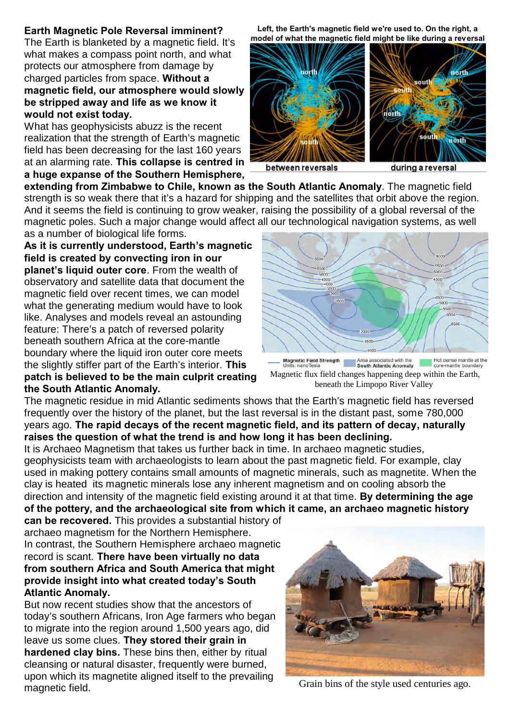## **Earth Magnetic Pole Reversal imminent?**

The Earth is blanketed by a magnetic field. It's what makes a compass point north, and what protects our atmosphere from damage by charged particles from space. **Without a magnetic field, our atmosphere would slowly be stripped away and life as we know it would not exist today.**

What has geophysicists abuzz is the recent realization that the strength of Earth's magnetic field has been decreasing for the last 160 years at an alarming rate. **This collapse is centred in a huge expanse of the Southern Hemisphere,**

**Left, the Earth's magnetic field we're used to. On the right, a model of what the magnetic field might be like during a reversal**



between reversals

during a reversal

**extending from Zimbabwe to Chile, known as the South Atlantic Anomaly**. The magnetic field strength is so weak there that it's a hazard for shipping and the satellites that orbit above the region. And it seems the field is continuing to grow weaker, raising the possibility of a global reversal of the magnetic poles. Such a major change would affect all our technological navigation systems, as well

as a number of biological life forms. **As it is currently understood, Earth's magnetic field is created by convecting iron in our planet's liquid outer core**. From the wealth of observatory and satellite data that document the magnetic field over recent times, we can model what the generating medium would have to look like. Analyses and models reveal an astounding feature: There's a patch of reversed polarity beneath southern Africa at the core-mantle boundary where the liquid iron outer core meets the slightly stiffer part of the Earth's interior. **This patch is believed to be the main culprit creating the South Atlantic Anomaly.** 

 $5000$ .550 Magnetic Field Strength Area associated with the<br>Units: nanoTesla **South Atlantic Anomaly** Hot dense mantle at the<br>core-mantle boundary

Magnetic flux field changes happening deep within the Earth, beneath the Limpopo River Valley

The magnetic residue in mid Atlantic sediments shows that the Earth's magnetic field has reversed frequently over the history of the planet, but the last reversal is in the distant past, some 780,000 years ago. **The rapid decays of the recent magnetic field, and its pattern of decay, naturally raises the question of what the trend is and how long it has been declining.**

It is Archaeo Magnetism that takes us further back in time. In archaeo magnetic studies, geophysicists team with archaeologists to learn about the past magnetic field. For example, clay used in making pottery contains small amounts of magnetic minerals, such as magnetite. When the clay is heated its magnetic minerals lose any inherent magnetism and on cooling absorb the direction and intensity of the magnetic field existing around it at that time. **By determining the age of the pottery, and the archaeological site from which it came, an archaeo magnetic history**

**can be recovered.** This provides a substantial history of archaeo magnetism for the Northern Hemisphere. In contrast, the Southern Hemisphere archaeo magnetic record is scant. **There have been virtually no data from southern Africa and South America that might provide insight into what created today's South Atlantic Anomaly.**

But now recent studies show that the ancestors of today's southern Africans, Iron Age farmers who began to migrate into the region around 1,500 years ago, did leave us some clues. **They stored their grain in hardened clay bins.** These bins then, either by ritual cleansing or natural disaster, frequently were burned, upon which its magnetite aligned itself to the prevailing magnetic field.



Grain bins of the style used centuries ago.